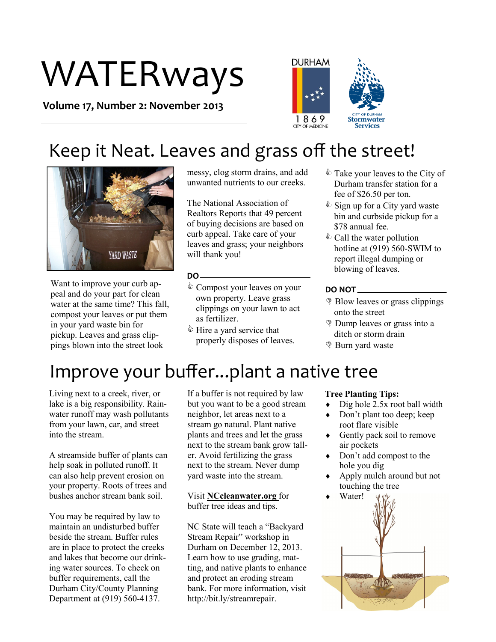# WATERways

**Volume 17, Number 2: November 2013**



### Keep it Neat. Leaves and grass off the street!



Want to improve your curb appeal and do your part for clean water at the same time? This fall. compost your leaves or put them in your yard waste bin for pickup. Leaves and grass clippings blown into the street look

messy, clog storm drains, and add unwanted nutrients to our creeks.

The National Association of Realtors Reports that 49 percent of buying decisions are based on curb appeal. Take care of your leaves and grass; your neighbors will thank you!

#### **DO**

- $\Diamond$  Compost your leaves on your own property. Leave grass clippings on your lawn to act as fertilizer.
- table Hire a yard service that properly disposes of leaves.
- Take your leaves to the City of Durham transfer station for a fee of \$26.50 per ton.
- $\hat{\mathbb{S}}$  Sign up for a City yard waste bin and curbside pickup for a \$78 annual fee.
- $\&$  Call the water pollution hotline at (919) 560-SWIM to report illegal dumping or blowing of leaves.

#### **DO NOT**

- **Blow leaves or grass clippings** onto the street
- Dump leaves or grass into a ditch or storm drain
- Burn yard waste

### Improve your buffer...plant a native tree

Living next to a creek, river, or lake is a big responsibility. Rainwater runoff may wash pollutants from your lawn, car, and street into the stream.

A streamside buffer of plants can help soak in polluted runoff. It can also help prevent erosion on your property. Roots of trees and bushes anchor stream bank soil.

You may be required by law to maintain an undisturbed buffer beside the stream. Buffer rules are in place to protect the creeks and lakes that become our drinking water sources. To check on buffer requirements, call the Durham City/County Planning Department at (919) 560-4137.

If a buffer is not required by law but you want to be a good stream neighbor, let areas next to a stream go natural. Plant native plants and trees and let the grass next to the stream bank grow taller. Avoid fertilizing the grass next to the stream. Never dump yard waste into the stream.

Visit **NCcleanwater.org** for buffer tree ideas and tips.

NC State will teach a "Backyard Stream Repair" workshop in Durham on December 12, 2013. Learn how to use grading, matting, and native plants to enhance and protect an eroding stream bank. For more information, visit http://bit.ly/streamrepair.

#### **Tree Planting Tips:**

- $\bullet$  Dig hole 2.5x root ball width
- Don't plant too deep; keep root flare visible
- Gently pack soil to remove air pockets
- Don't add compost to the hole you dig
- Apply mulch around but not touching the tree